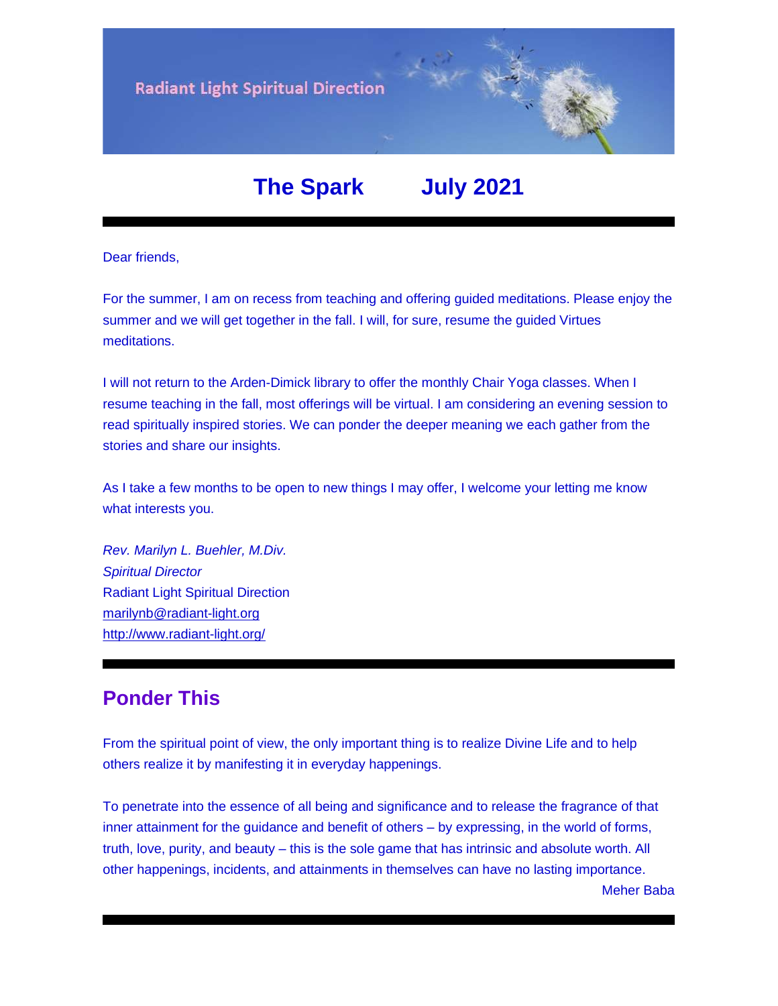

# **The Spark July 2021**

Dear friends,

For the summer, I am on recess from teaching and offering guided meditations. Please enjoy the summer and we will get together in the fall. I will, for sure, resume the guided Virtues meditations.

I will not return to the Arden-Dimick library to offer the monthly Chair Yoga classes. When I resume teaching in the fall, most offerings will be virtual. I am considering an evening session to read spiritually inspired stories. We can ponder the deeper meaning we each gather from the stories and share our insights.

As I take a few months to be open to new things I may offer, I welcome your letting me know what interests you.

*Rev. Marilyn L. Buehler, M.Div. Spiritual Director* Radiant Light Spiritual Direction [marilynb@radiant-light.org](mailto:marilynb@radiant-light.org) [http://www.radiant-light.org/](https://u18544456.ct.sendgrid.net/ls/click?upn=R-2Bl7NGDLiuME3v4KUDXT9h2qnOPi-2Bv0NUDPOAvqgwbSGaV-2BAb3Xm4aVOKtH6HhU9m-2FTXOQwSXWi82XNXQXmW0Ybjzw6tS-2BT4DLdUHTzXugFWK15x1FY1bK6oAs60zDHaawMf_FiQrYGg1YZElR924caalGEP3AHGeF79ulf5jxC9Fbcd8IfoR4p2-2FW0xZvJaX6Y3z75H0Yw3uGmHJTH3azVPJ5HTXrZ-2Ft5OVM5Vv31JFvUf3sl-2Bt2VvZL3mo9-2FDK3jGCpKKsctu-2BYuI2t0yLxWzYifNE6e-2BqwowlnDb7KHGf-2B1cEvEKwsIPI6vz4d6KnT-2BBlq8dCop1uS48DZ-2Bvq6XkD7zzRlB2LVRFREailOoVd1PYJMmE-2FZX-2Bdc84U7-2FJBgZE2tcq6zXj2PakPALEAX-2BNI04fk0MApJIAlsnEL9LDwVq490p06IzZr92IqfedAbfF9M-2BgjTrb6xdz7rVbTDo9quHsStyIz8UEjXxEZBEWwHaOeTKTCmd-2B-2BwNqpz6Ebjt-2FH4oV-2Bdh6PZxQBUdUVHjvUWTa6J9xUYQKGtE8dr1dKgE03RfIrzSZ6-2FFXc9EQsP8SjEr3c6uXgnjMROtnXtdCSEkq2bHuT9hgQlgRU4Fu-2F7xgj9WHW6OJbp53bQg0DTPhEFYhhr50Lcy1yM6gOzv1wlLr5ky-2FEvyFhh1WqVvGzyeUPfUFuHyvDQEZnE3uJrlyHtWQLMPApRwb9zB9787KMzzoLWHOdAy2KvP935HkVpkNGjcQA6QsEf5bqTCY2X1R3LNGl2e-2FKvnj0EpB3oJNFMqbLrkiyCoQyudWPF5970qBCvrO-2B5yAC-2BRVgdxGWo8uXHviLwoYCUHxYVsGCiJ1PQVspnRAVLKiIqLUI4ax1nWu0g-2B-2FYtbg4RUiBHA-2Btt3JoftDvKWlPlvL39z2siAdUZyE3-2ByzctBW2RGn05E8zgNWMUGzrGF-2FQkhy5Z2JEA9jc04cygyCUiZkzVXfRUiK0yzVii3zxLj9O2ZPgbj0ZEIHje8XHJK6e2PZNdojASCuKKcK7ZbhYTbbIr75Tc1-2BN97g-3D-3D)

### **Ponder This**

From the spiritual point of view, the only important thing is to realize Divine Life and to help others realize it by manifesting it in everyday happenings.

To penetrate into the essence of all being and significance and to release the fragrance of that inner attainment for the guidance and benefit of others – by expressing, in the world of forms, truth, love, purity, and beauty – this is the sole game that has intrinsic and absolute worth. All other happenings, incidents, and attainments in themselves can have no lasting importance.

Meher Baba